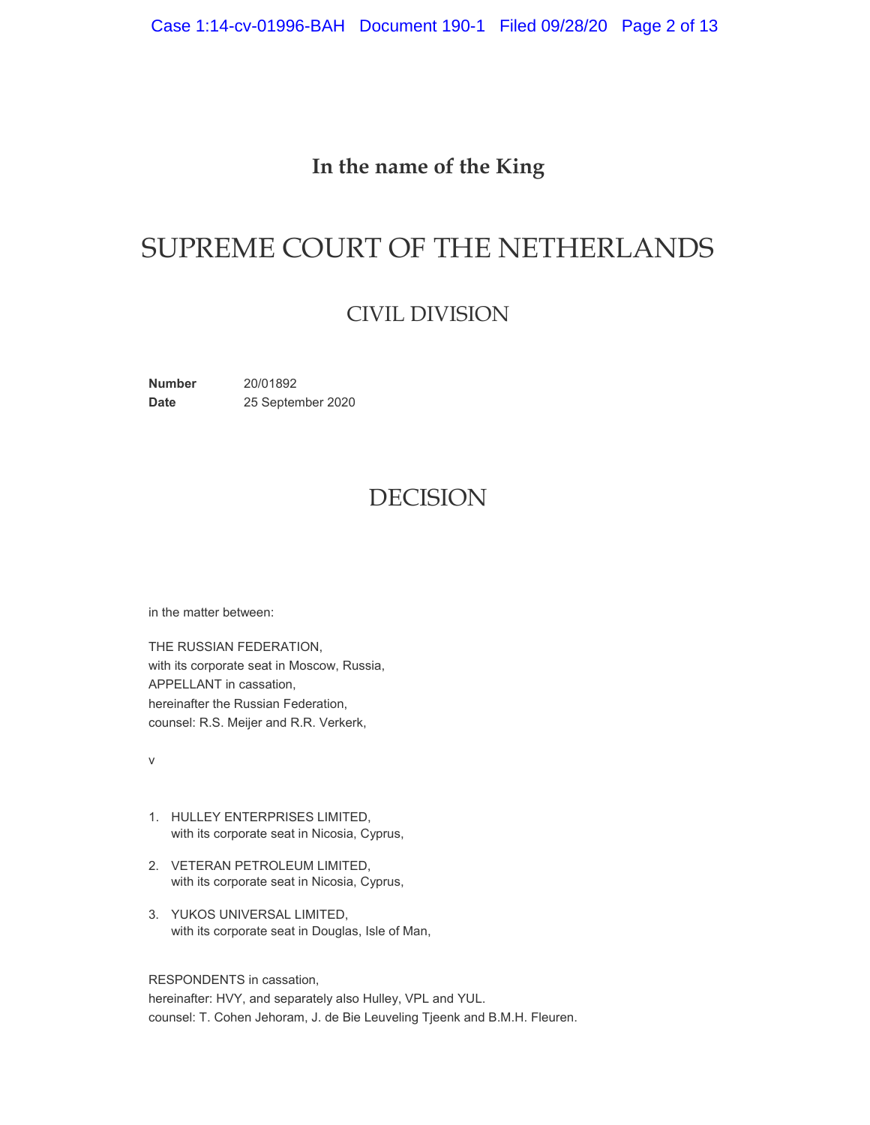## **In the name of the King**

# SUPREME COURT OF THE NETHERLANDS

## CIVIL DIVISION

**Number** 20/01892 Date 25 September 2020

# DECISION

in the matter between:

THE RUSSIAN FEDERATION, with its corporate seat in Moscow, Russia, APPELLANT in cassation, hereinafter the Russian Federation, counsel: R.S. Meijer and R.R. Verkerk,

v

- 1. HULLEY ENTERPRISES LIMITED, with its corporate seat in Nicosia, Cyprus,
- 2. VETERAN PETROLEUM LIMITED, with its corporate seat in Nicosia, Cyprus,
- 3. YUKOS UNIVERSAL LIMITED, with its corporate seat in Douglas, Isle of Man,

RESPONDENTS in cassation,

hereinafter: HVY, and separately also Hulley, VPL and YUL. counsel: T. Cohen Jehoram, J. de Bie Leuveling Tjeenk and B.M.H. Fleuren.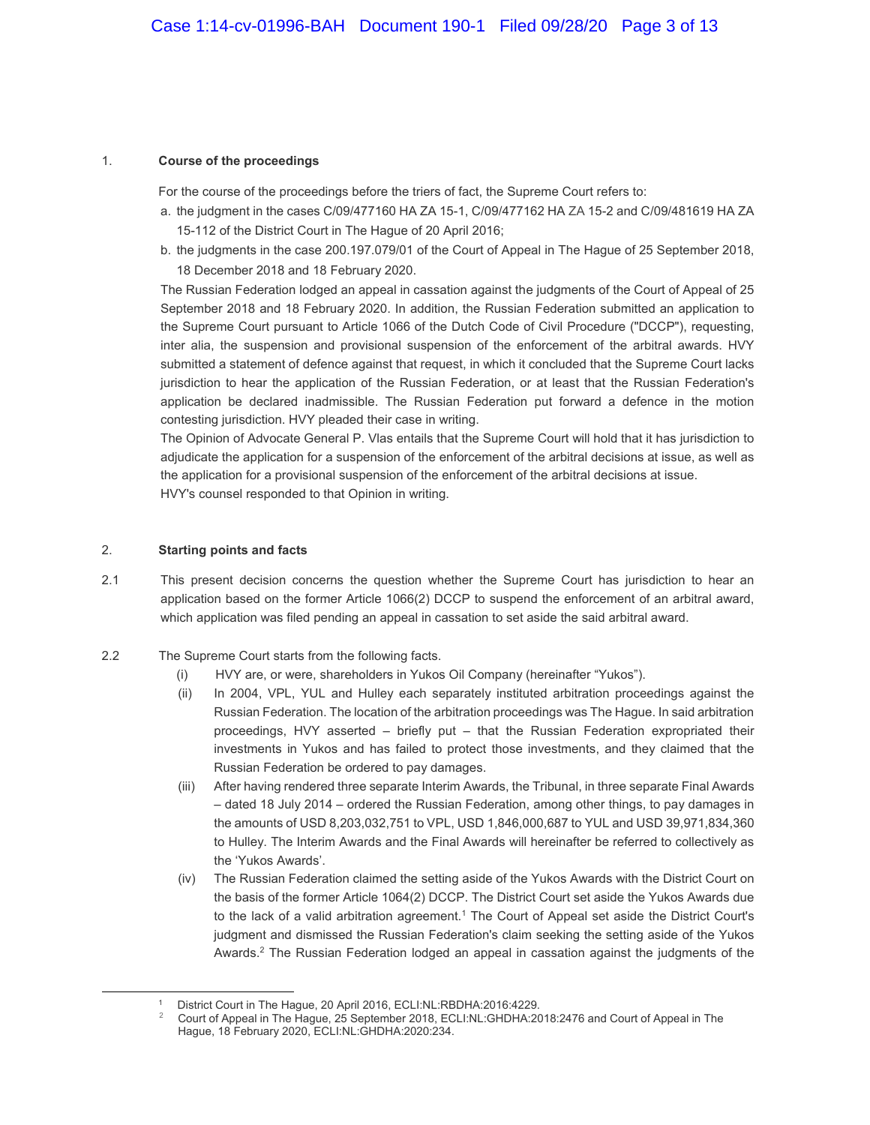#### 1. **Course of the proceedings**

For the course of the proceedings before the triers of fact, the Supreme Court refers to:

- a. the judgment in the cases C/09/477160 HA ZA 15-1, C/09/477162 HA ZA 15-2 and C/09/481619 HA ZA 15-112 of the District Court in The Hague of 20 April 2016;
- b. the judgments in the case 200.197.079/01 of the Court of Appeal in The Hague of 25 September 2018, 18 December 2018 and 18 February 2020.

The Russian Federation lodged an appeal in cassation against the judgments of the Court of Appeal of 25 September 2018 and 18 February 2020. In addition, the Russian Federation submitted an application to the Supreme Court pursuant to Article 1066 of the Dutch Code of Civil Procedure ("DCCP"), requesting, inter alia, the suspension and provisional suspension of the enforcement of the arbitral awards. HVY submitted a statement of defence against that request, in which it concluded that the Supreme Court lacks jurisdiction to hear the application of the Russian Federation, or at least that the Russian Federation's application be declared inadmissible. The Russian Federation put forward a defence in the motion contesting jurisdiction. HVY pleaded their case in writing.

The Opinion of Advocate General P. Vlas entails that the Supreme Court will hold that it has jurisdiction to adjudicate the application for a suspension of the enforcement of the arbitral decisions at issue, as well as the application for a provisional suspension of the enforcement of the arbitral decisions at issue. HVY's counsel responded to that Opinion in writing.

#### 2. **Starting points and facts**

 $\overline{a}$ 

- 2.1 This present decision concerns the question whether the Supreme Court has jurisdiction to hear an application based on the former Article 1066(2) DCCP to suspend the enforcement of an arbitral award, which application was filed pending an appeal in cassation to set aside the said arbitral award.
- 2.2 The Supreme Court starts from the following facts.
	- (i) HVY are, or were, shareholders in Yukos Oil Company (hereinafter "Yukos").
	- (ii) In 2004, VPL, YUL and Hulley each separately instituted arbitration proceedings against the Russian Federation. The location of the arbitration proceedings was The Hague. In said arbitration proceedings, HVY asserted – briefly put – that the Russian Federation expropriated their investments in Yukos and has failed to protect those investments, and they claimed that the Russian Federation be ordered to pay damages.
	- (iii) After having rendered three separate Interim Awards, the Tribunal, in three separate Final Awards – dated 18 July 2014 – ordered the Russian Federation, among other things, to pay damages in the amounts of USD 8,203,032,751 to VPL, USD 1,846,000,687 to YUL and USD 39,971,834,360 to Hulley. The Interim Awards and the Final Awards will hereinafter be referred to collectively as the 'Yukos Awards'.
	- (iv) The Russian Federation claimed the setting aside of the Yukos Awards with the District Court on the basis of the former Article 1064(2) DCCP. The District Court set aside the Yukos Awards due to the lack of a valid arbitration agreement.<sup>1</sup> The Court of Appeal set aside the District Court's judgment and dismissed the Russian Federation's claim seeking the setting aside of the Yukos Awards.<sup>2</sup> The Russian Federation lodged an appeal in cassation against the judgments of the

<sup>1</sup> District Court in The Hague, 20 April 2016, ECLI:NL:RBDHA:2016:4229.

<sup>2</sup> Court of Appeal in The Hague, 25 September 2018, ECLI:NL:GHDHA:2018:2476 and Court of Appeal in The Hague, 18 February 2020, ECLI:NL:GHDHA:2020:234.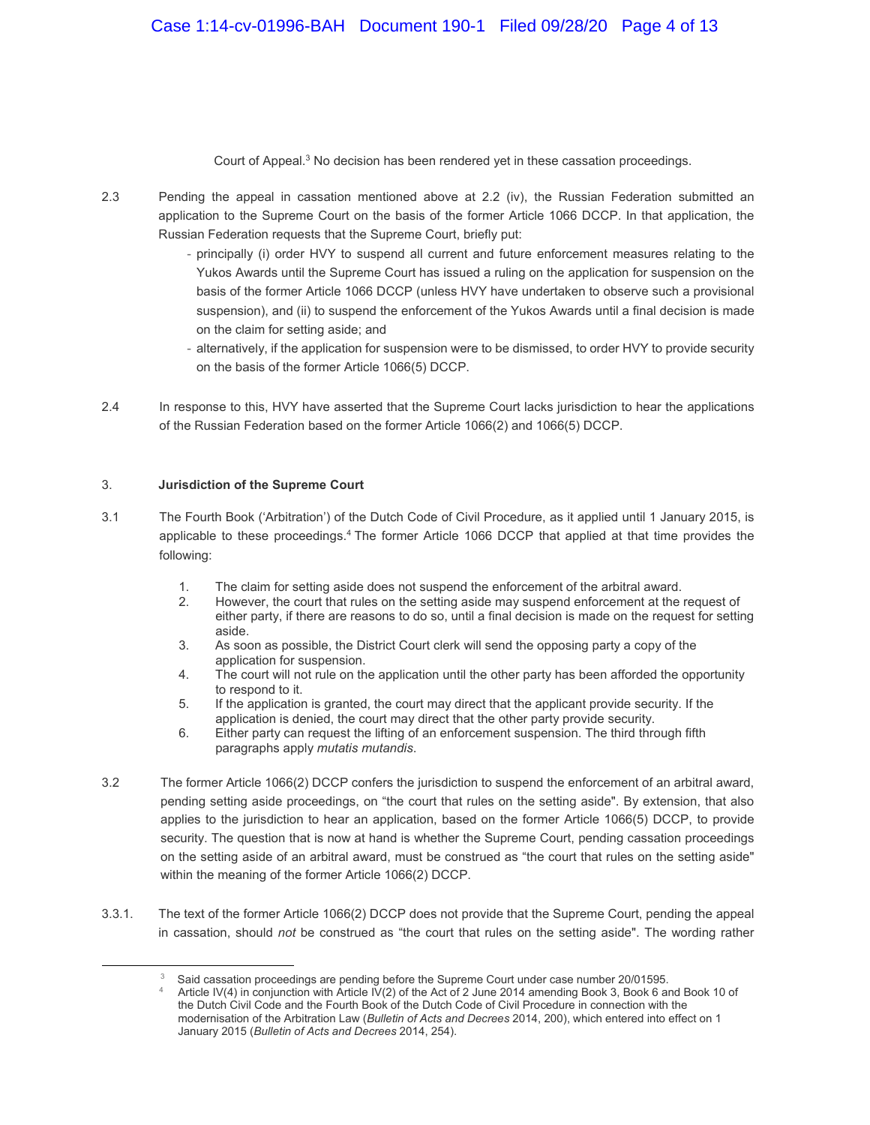Court of Appeal.<sup>3</sup> No decision has been rendered yet in these cassation proceedings.

- 2.3 Pending the appeal in cassation mentioned above at 2.2 (iv), the Russian Federation submitted an application to the Supreme Court on the basis of the former Article 1066 DCCP. In that application, the Russian Federation requests that the Supreme Court, briefly put:
	- principally (i) order HVY to suspend all current and future enforcement measures relating to the Yukos Awards until the Supreme Court has issued a ruling on the application for suspension on the basis of the former Article 1066 DCCP (unless HVY have undertaken to observe such a provisional suspension), and (ii) to suspend the enforcement of the Yukos Awards until a final decision is made on the claim for setting aside; and
	- alternatively, if the application for suspension were to be dismissed, to order HVY to provide security on the basis of the former Article 1066(5) DCCP.
- 2.4 In response to this, HVY have asserted that the Supreme Court lacks jurisdiction to hear the applications of the Russian Federation based on the former Article 1066(2) and 1066(5) DCCP.

#### 3. **Jurisdiction of the Supreme Court**

 $\overline{a}$ 

- 3.1 The Fourth Book ('Arbitration') of the Dutch Code of Civil Procedure, as it applied until 1 January 2015, is applicable to these proceedings.<sup>4</sup> The former Article 1066 DCCP that applied at that time provides the following:
	- 1. The claim for setting aside does not suspend the enforcement of the arbitral award.
	- 2. However, the court that rules on the setting aside may suspend enforcement at the request of either party, if there are reasons to do so, until a final decision is made on the request for setting aside.
	- 3. As soon as possible, the District Court clerk will send the opposing party a copy of the application for suspension.
	- 4. The court will not rule on the application until the other party has been afforded the opportunity to respond to it.
	- 5. If the application is granted, the court may direct that the applicant provide security. If the application is denied, the court may direct that the other party provide security.
	- 6. Either party can request the lifting of an enforcement suspension. The third through fifth paragraphs apply *mutatis mutandis*.
- 3.2 The former Article 1066(2) DCCP confers the jurisdiction to suspend the enforcement of an arbitral award, pending setting aside proceedings, on "the court that rules on the setting aside". By extension, that also applies to the jurisdiction to hear an application, based on the former Article 1066(5) DCCP, to provide security. The question that is now at hand is whether the Supreme Court, pending cassation proceedings on the setting aside of an arbitral award, must be construed as "the court that rules on the setting aside" within the meaning of the former Article 1066(2) DCCP.
- 3.3.1. The text of the former Article 1066(2) DCCP does not provide that the Supreme Court, pending the appeal in cassation, should *not* be construed as "the court that rules on the setting aside". The wording rather

 $3$  Said cassation proceedings are pending before the Supreme Court under case number 20/01595.

Article IV(4) in conjunction with Article IV(2) of the Act of 2 June 2014 amending Book 3, Book 6 and Book 10 of the Dutch Civil Code and the Fourth Book of the Dutch Code of Civil Procedure in connection with the modernisation of the Arbitration Law (*Bulletin of Acts and Decrees* 2014, 200), which entered into effect on 1 January 2015 (*Bulletin of Acts and Decrees* 2014, 254).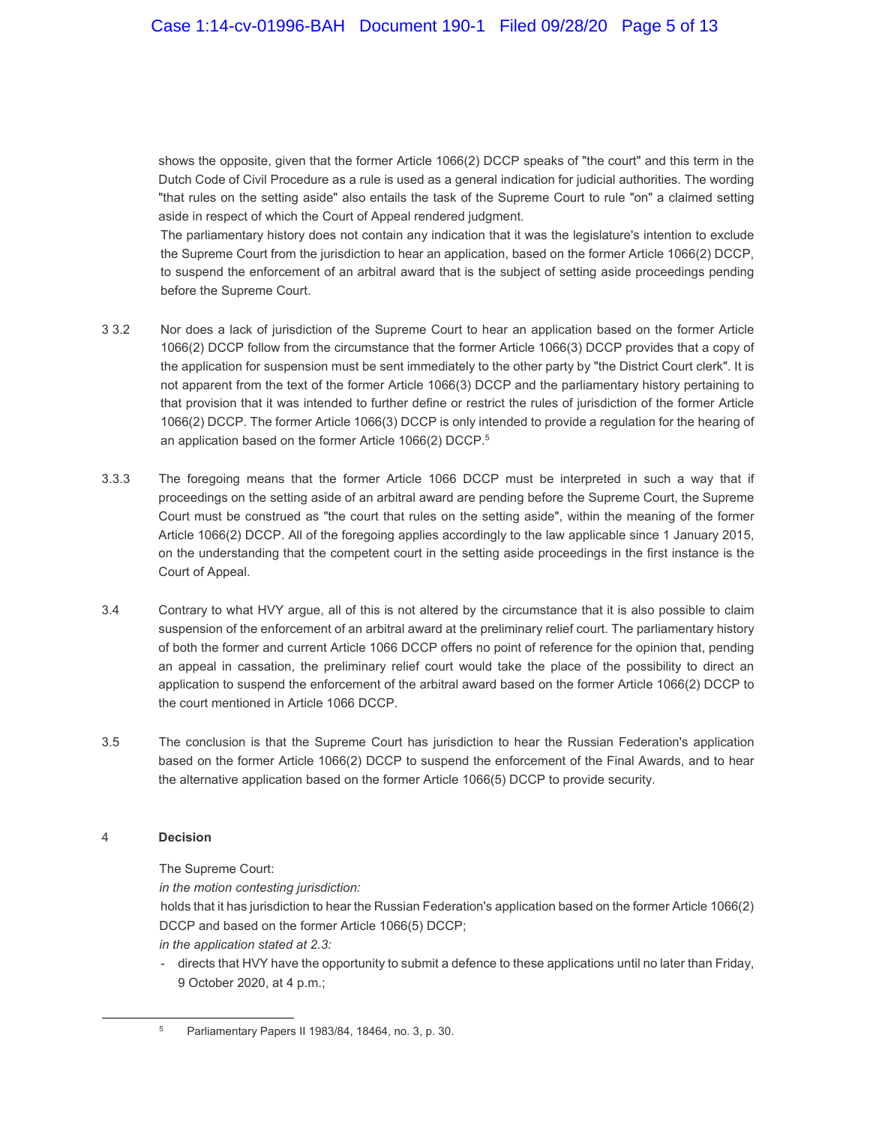shows the opposite, given that the former Article 1066(2) DCCP speaks of "the court" and this term in the Dutch Code of Civil Procedure as a rule is used as a general indication for judicial authorities. The wording "that rules on the setting aside" also entails the task of the Supreme Court to rule "on" a claimed setting aside in respect of which the Court of Appeal rendered judgment.

The parliamentary history does not contain any indication that it was the legislature's intention to exclude the Supreme Court from the jurisdiction to hear an application, based on the former Article 1066(2) DCCP, to suspend the enforcement of an arbitral award that is the subject of setting aside proceedings pending before the Supreme Court.

- 3 3.2 Nor does a lack of jurisdiction of the Supreme Court to hear an application based on the former Article 1066(2) DCCP follow from the circumstance that the former Article 1066(3) DCCP provides that a copy of the application for suspension must be sent immediately to the other party by "the District Court clerk". It is not apparent from the text of the former Article 1066(3) DCCP and the parliamentary history pertaining to that provision that it was intended to further define or restrict the rules of jurisdiction of the former Article 1066(2) DCCP. The former Article 1066(3) DCCP is only intended to provide a regulation for the hearing of an application based on the former Article 1066(2) DCCP.<sup>5</sup>
- 3.3.3 The foregoing means that the former Article 1066 DCCP must be interpreted in such a way that if proceedings on the setting aside of an arbitral award are pending before the Supreme Court, the Supreme Court must be construed as "the court that rules on the setting aside", within the meaning of the former Article 1066(2) DCCP. All of the foregoing applies accordingly to the law applicable since 1 January 2015, on the understanding that the competent court in the setting aside proceedings in the first instance is the Court of Appeal.
- 3.4 Contrary to what HVY argue, all of this is not altered by the circumstance that it is also possible to claim suspension of the enforcement of an arbitral award at the preliminary relief court. The parliamentary history of both the former and current Article 1066 DCCP offers no point of reference for the opinion that, pending an appeal in cassation, the preliminary relief court would take the place of the possibility to direct an application to suspend the enforcement of the arbitral award based on the former Article 1066(2) DCCP to the court mentioned in Article 1066 DCCP.
- 3.5 The conclusion is that the Supreme Court has jurisdiction to hear the Russian Federation's application based on the former Article 1066(2) DCCP to suspend the enforcement of the Final Awards, and to hear the alternative application based on the former Article 1066(5) DCCP to provide security.

#### 4 **Decision**

 $\overline{a}$ 

The Supreme Court:

*in the motion contesting jurisdiction:*

holds that it has jurisdiction to hear the Russian Federation's application based on the former Article 1066(2) DCCP and based on the former Article 1066(5) DCCP;

*in the application stated at 2.3:*

- directs that HVY have the opportunity to submit a defence to these applications until no later than Friday, 9 October 2020, at 4 p.m.;

<sup>5</sup> Parliamentary Papers II 1983/84, 18464, no. 3, p. 30.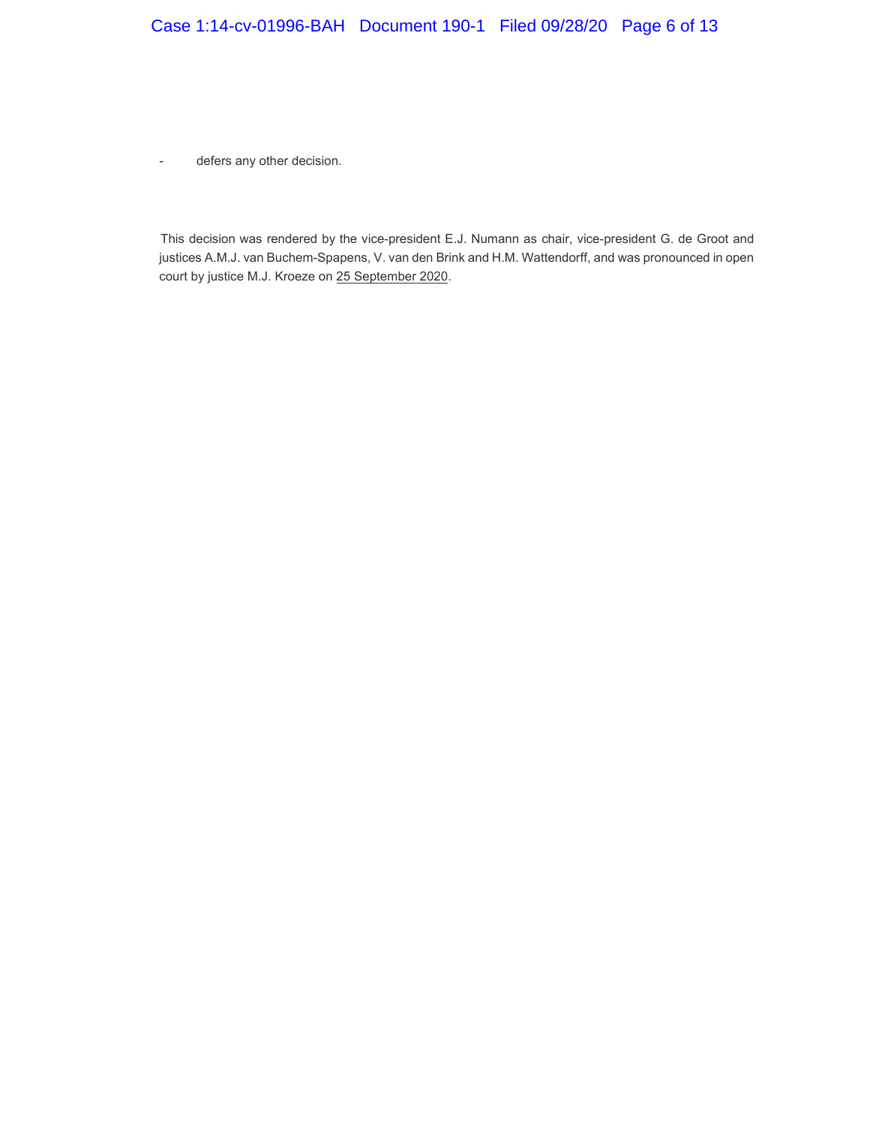### Case 1:14-cv-01996-BAH Document 190-1 Filed 09/28/20 Page 6 of 13

- defers any other decision.

This decision was rendered by the vice-president E.J. Numann as chair, vice-president G. de Groot and justices A.M.J. van Buchem-Spapens, V. van den Brink and H.M. Wattendorff, and was pronounced in open court by justice M.J. Kroeze on 25 September 2020.